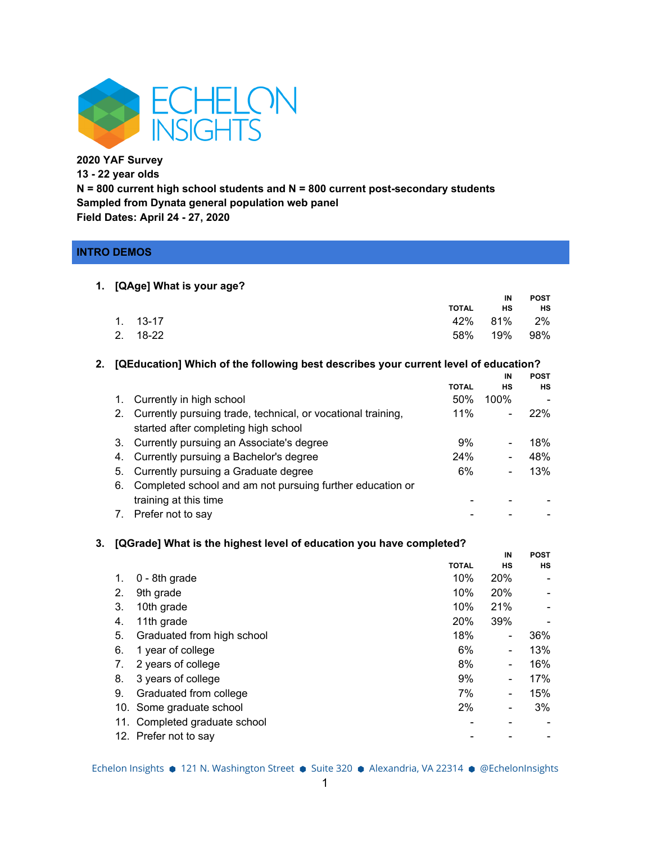

**2020 YAF Survey 13 - 22 year olds N = 800 current high school students and N = 800 current post-secondary students Sampled from Dynata general population web panel Field Dates: April 24 - 27, 2020**

# **INTRO DEMOS**

#### **1. [QAge] What is your age? TOTAL IN HS POST** 1. 13-17 42% 81% 2% 2. 18-22 58% 19% 98%

**2. [QEducation] Which of the following best describes your current level of education?**

**HS**

|             |                                                                 |              | IN                       | <b>POST</b> |
|-------------|-----------------------------------------------------------------|--------------|--------------------------|-------------|
|             |                                                                 | <b>TOTAL</b> | <b>HS</b>                | HS          |
| $1_{\cdot}$ | Currently in high school                                        | 50%          | 100%                     |             |
|             | 2. Currently pursuing trade, technical, or vocational training, | $11\%$       |                          | 22%         |
|             | started after completing high school                            |              |                          |             |
|             | 3. Currently pursuing an Associate's degree                     | 9%           | $\overline{\phantom{0}}$ | 18%         |
|             | 4. Currently pursuing a Bachelor's degree                       | 24%          | $\overline{\phantom{0}}$ | 48%         |
|             | 5. Currently pursuing a Graduate degree                         | 6%           |                          | 13%         |
| 6.          | Completed school and am not pursuing further education or       |              |                          |             |
|             | training at this time                                           |              |                          |             |
|             | 7. Prefer not to say                                            |              |                          |             |

### **3. [QGrade] What is the highest level of education you have completed?**

|     |                               |              | IN                       | <b>POST</b> |
|-----|-------------------------------|--------------|--------------------------|-------------|
|     |                               | <b>TOTAL</b> | <b>HS</b>                | <b>HS</b>   |
| 1.  | 0 - 8th grade                 | 10%          | <b>20%</b>               |             |
| 2.  | 9th grade                     | 10%          | <b>20%</b>               |             |
| 3.  | 10th grade                    | 10%          | 21%                      |             |
| 4.  | 11th grade                    | 20%          | 39%                      |             |
| 5.  | Graduated from high school    | 18%          | -                        | 36%         |
| 6.  | 1 year of college             | 6%           | $\overline{\phantom{0}}$ | 13%         |
| 7.  | 2 years of college            | 8%           | -                        | 16%         |
| 8.  | 3 years of college            | 9%           | $\overline{\phantom{0}}$ | 17%         |
| 9.  | Graduated from college        | 7%           | $\overline{\phantom{0}}$ | 15%         |
| 10. | Some graduate school          | 2%           |                          | 3%          |
|     | 11. Completed graduate school |              |                          |             |
|     | 12. Prefer not to say         |              |                          |             |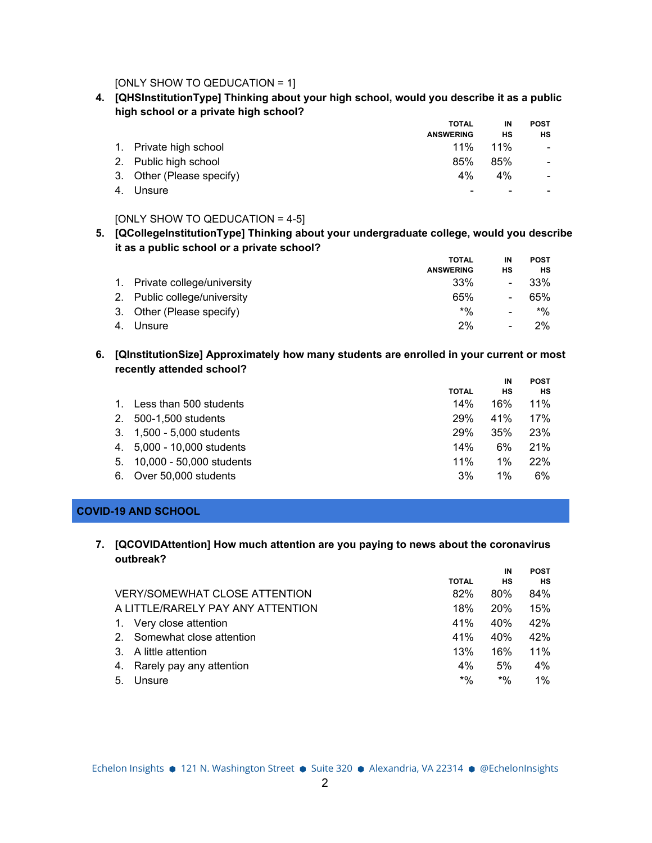[ONLY SHOW TO QEDUCATION = 1]

**4. [QHSInstitutionType] Thinking about your high school, would you describe it as a public high school or a private high school?**

|                           | <b>TOTAL</b>             | IN     | <b>POST</b>              |
|---------------------------|--------------------------|--------|--------------------------|
|                           | <b>ANSWERING</b>         | НS     | НS                       |
| 1. Private high school    | $11\%$                   | $11\%$ | $\overline{\phantom{a}}$ |
| 2. Public high school     | 85%                      | 85%    | $\overline{\phantom{a}}$ |
| 3. Other (Please specify) | $4\%$                    | 4%     | $\overline{\phantom{a}}$ |
| 4. Unsure                 | $\overline{\phantom{0}}$ |        | $\overline{\phantom{0}}$ |

### [ONLY SHOW TO QEDUCATION = 4-5]

**5. [QCollegeInstitutionType] Thinking about your undergraduate college, would you describe it as a public school or a private school?**

|                               | <b>TOTAL</b>     | IN                           | <b>POST</b> |
|-------------------------------|------------------|------------------------------|-------------|
|                               | <b>ANSWERING</b> | нs                           | НS          |
| 1. Private college/university | 33%              | $\blacksquare$               | 33%         |
| 2. Public college/university  | 65%              | $\qquad \qquad \blacksquare$ | 65%         |
| 3. Other (Please specify)     | $*$ %            | $\overline{\phantom{a}}$     | $*$ %       |
| Unsure                        | 2%               | $\overline{\phantom{a}}$     | 2%          |

**6. [QInstitutionSize] Approximately how many students are enrolled in your current or most recently attended school?**

|    |                             |              | IN    | <b>POST</b> |
|----|-----------------------------|--------------|-------|-------------|
|    |                             | <b>TOTAL</b> | НS    | НS          |
|    | 1. Less than 500 students   | 14%          | 16%   | 11%         |
|    | 2. 500-1,500 students       | <b>29%</b>   | 41%   | 17%         |
|    | 3. 1,500 - 5,000 students   | <b>29%</b>   | 35%   | 23%         |
|    | 4. 5,000 - 10,000 students  | 14%          | 6%    | 21%         |
|    | 5. 10.000 - 50.000 students | 11%          | $1\%$ | 22%         |
| 6. | Over 50,000 students        | 3%           | $1\%$ | 6%          |

#### **COVID-19 AND SCHOOL**

**7. [QCOVIDAttention] How much attention are you paying to news about the coronavirus outbreak?**

|                                      |              | IN         | <b>POST</b> |
|--------------------------------------|--------------|------------|-------------|
|                                      | <b>TOTAL</b> | нs         | <b>HS</b>   |
| <b>VERY/SOMEWHAT CLOSE ATTENTION</b> | 82%          | 80%        | 84%         |
| A LITTLE/RARELY PAY ANY ATTENTION    | 18%          | <b>20%</b> | 15%         |
| Very close attention<br>1.           | 41%          | 40%        | 42%         |
| Somewhat close attention<br>2        | 41%          | 40%        | 42%         |
| 3. A little attention                | 13%          | 16%        | 11%         |
| Rarely pay any attention<br>4.       | 4%           | 5%         | 4%          |
| Unsure<br>5.                         | $*9/0$       | $*$ %      | $1\%$       |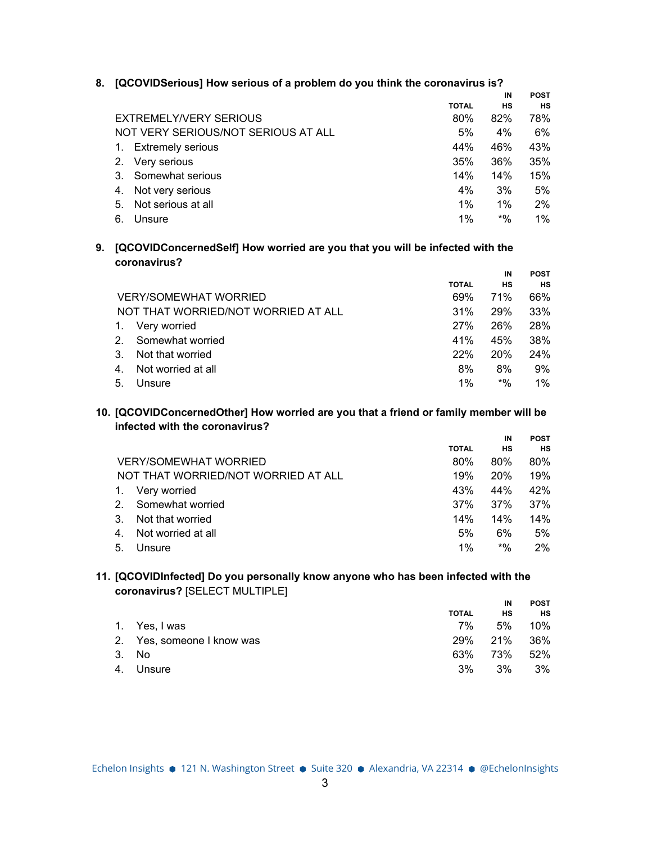|                                     |              | IN        | <b>POST</b> |  |
|-------------------------------------|--------------|-----------|-------------|--|
|                                     | <b>TOTAL</b> | <b>HS</b> | <b>HS</b>   |  |
| EXTREMELY/VERY SERIOUS              | 80%          | 82%       | 78%         |  |
| NOT VERY SERIOUS/NOT SERIOUS AT ALL | 5%           | 4%        | 6%          |  |
| <b>Extremely serious</b><br>1.      | 44%          | 46%       | 43%         |  |
| 2. Very serious                     | 35%          | 36%       | 35%         |  |
| Somewhat serious<br>3.              | 14%          | 14%       | 15%         |  |
| Not very serious<br>4.              | 4%           | 3%        | 5%          |  |
| Not serious at all<br>5.            | 1%           | $1\%$     | $2\%$       |  |
| 6.<br>Unsure                        | 1%           | $*9/6$    | $1\%$       |  |
|                                     |              |           |             |  |

# **8. [QCOVIDSerious] How serious of a problem do you think the coronavirus is?**

**9. [QCOVIDConcernedSelf] How worried are you that you will be infected with the coronavirus?**

|                |                                     |              | IN         | <b>POST</b> |
|----------------|-------------------------------------|--------------|------------|-------------|
|                |                                     | <b>TOTAL</b> | НS         | <b>HS</b>   |
|                | <b>VERY/SOMEWHAT WORRIED</b>        | 69%          | <b>71%</b> | 66%         |
|                | NOT THAT WORRIED/NOT WORRIED AT ALL | 31%          | <b>29%</b> | 33%         |
|                | Very worried                        | 27%          | 26%        | 28%         |
| 2 <sub>1</sub> | Somewhat worried                    | 41%          | 45%        | 38%         |
| 3.             | Not that worried                    | 22%          | <b>20%</b> | 24%         |
| 4.             | Not worried at all                  | 8%           | 8%         | 9%          |
| 5.             | Unsure                              | $1\%$        | $*$ %      | $1\%$       |

**10. [QCOVIDConcernedOther] How worried are you that a friend or family member will be infected with the coronavirus?**

|         |                                     |              | IN         | <b>POST</b> |
|---------|-------------------------------------|--------------|------------|-------------|
|         |                                     | <b>TOTAL</b> | НS         | <b>HS</b>   |
|         | <b>VERY/SOMEWHAT WORRIED</b>        | 80%          | 80%        | 80%         |
|         | NOT THAT WORRIED/NOT WORRIED AT ALL | 19%          | <b>20%</b> | 19%         |
|         | Very worried                        | 43%          | 44%        | 42%         |
| $2_{-}$ | Somewhat worried                    | 37%          | 37%        | 37%         |
| 3.      | Not that worried                    | 14%          | 14%        | 14%         |
| 4.      | Not worried at all                  | 5%           | 6%         | 5%          |
| 5.      | Unsure                              | $1\%$        | $*$ %      | 2%          |

# **11. [QCOVIDInfected] Do you personally know anyone who has been infected with the coronavirus?** [SELECT MULTIPLE]

|                            |              | IN  | <b>POST</b> |
|----------------------------|--------------|-----|-------------|
|                            | <b>TOTAL</b> | НS  | <b>HS</b>   |
| 1. Yes, I was              | 7%           | .5% | 10%         |
| 2. Yes, someone I know was | 29%          | 21% | 36%         |
| 3. No                      | 63%          | 73% | 52%         |
| 4. Unsure                  | $3\%$        | 3%  | 3%          |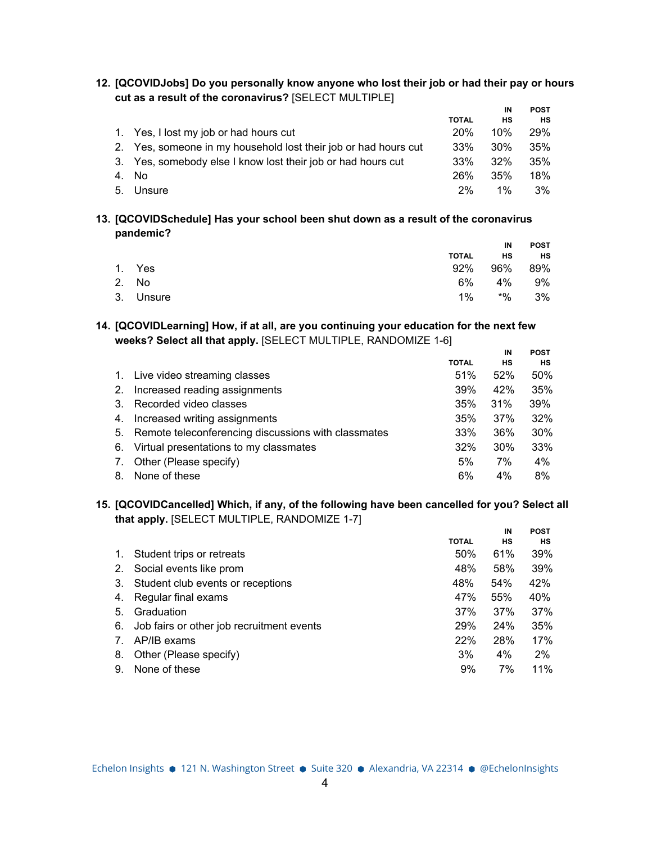**12. [QCOVIDJobs] Do you personally know anyone who lost their job or had their pay or hours cut as a result of the coronavirus?** [SELECT MULTIPLE]

|                                                                 |              | IN     | <b>POST</b> |
|-----------------------------------------------------------------|--------------|--------|-------------|
|                                                                 | <b>TOTAL</b> | НS     | <b>HS</b>   |
| 1. Yes, I lost my job or had hours cut                          | 20%          | 10%    | 29%         |
| 2. Yes, someone in my household lost their job or had hours cut | 33%          | $30\%$ | 35%         |
| 3. Yes, somebody else I know lost their job or had hours cut    | 33%          | 32%    | 35%         |
| 4. No                                                           | 26%          | 35%    | 18%         |
| 5. Unsure                                                       | $2\%$        | $1\%$  | 3%          |
|                                                                 |              |        |             |

**13. [QCOVIDSchedule] Has your school been shut down as a result of the coronavirus pandemic?**

|           |       | IN          | POST      |
|-----------|-------|-------------|-----------|
|           | TOTAL | <b>HS</b>   | <b>HS</b> |
| 1. Yes    |       | 92% 96% 89% |           |
| 2. No     |       | 6% 4% 9%    |           |
| 3. Unsure | $1\%$ | *%          | 3%        |

### **14. [QCOVIDLearning] How, if at all, are you continuing your education for the next few weeks? Select all that apply.** [SELECT MULTIPLE, RANDOMIZE 1-6]

|         |                                                     |              | IN  | <b>POST</b> |
|---------|-----------------------------------------------------|--------------|-----|-------------|
|         |                                                     | <b>TOTAL</b> | НS  | НS          |
|         | 1. Live video streaming classes                     | 51%          | 52% | 50%         |
| 2.      | Increased reading assignments                       | 39%          | 42% | 35%         |
| $3_{-}$ | Recorded video classes                              | 35%          | 31% | 39%         |
| 4.      | Increased writing assignments                       | 35%          | 37% | 32%         |
| 5.      | Remote teleconferencing discussions with classmates | 33%          | 36% | 30%         |
| 6.      | Virtual presentations to my classmates              | 32%          | 30% | 33%         |
| 7.      | Other (Please specify)                              | 5%           | 7%  | 4%          |
| 8.      | None of these                                       | 6%           | 4%  | 8%          |

#### **15. [QCOVIDCancelled] Which, if any, of the following have been cancelled for you? Select all that apply.** [SELECT MULTIPLE, RANDOMIZE 1-7] **IN POST**

|                                 |                                           |              | ΙN  | rusi |
|---------------------------------|-------------------------------------------|--------------|-----|------|
|                                 |                                           | <b>TOTAL</b> | НS  | НS   |
| 1.                              | Student trips or retreats                 | 50%          | 61% | 39%  |
| 2.                              | Social events like prom                   | 48%          | 58% | 39%  |
| 3.                              | Student club events or receptions         | 48%          | 54% | 42%  |
| 4.                              | Regular final exams                       | 47%          | 55% | 40%  |
| 5.                              | Graduation                                | 37%          | 37% | 37%  |
| 6.                              | Job fairs or other job recruitment events | 29%          | 24% | 35%  |
| $7_{\scriptscriptstyle{\circ}}$ | AP/IB exams                               | 22%          | 28% | 17%  |
| 8.                              | Other (Please specify)                    | 3%           | 4%  | 2%   |
| 9.                              | None of these                             | 9%           | 7%  | 11%  |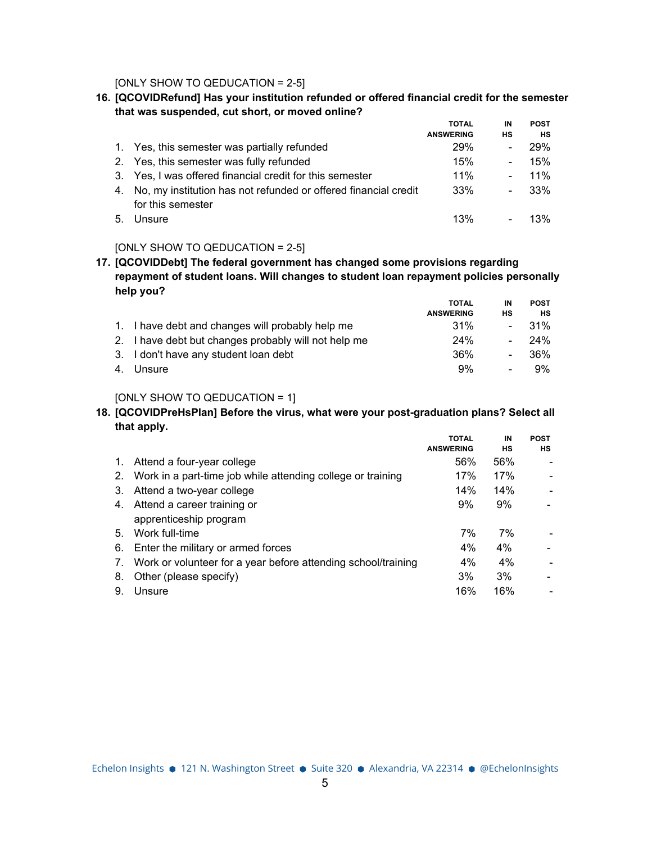[ONLY SHOW TO QEDUCATION = 2-5]

**16. [QCOVIDRefund] Has your institution refunded or offered financial credit for the semester that was suspended, cut short, or moved online?**

|    |                                                                    | <b>TOTAL</b>     | IN                       | <b>POST</b> |
|----|--------------------------------------------------------------------|------------------|--------------------------|-------------|
|    |                                                                    | <b>ANSWERING</b> | НS                       | HS          |
|    | 1. Yes, this semester was partially refunded                       | <b>29%</b>       |                          | 29%         |
|    | 2. Yes, this semester was fully refunded                           | 15%              | -                        | 15%         |
|    | 3. Yes, I was offered financial credit for this semester           | 11%              |                          | 11%         |
|    | 4. No, my institution has not refunded or offered financial credit | 33%              | $\overline{\phantom{0}}$ | 33%         |
|    | for this semester                                                  |                  |                          |             |
| 5. | Unsure                                                             | 13%              |                          | 13%         |

### [ONLY SHOW TO QEDUCATION = 2-5]

**17. [QCOVIDDebt] The federal government has changed some provisions regarding repayment of student loans. Will changes to student loan repayment policies personally help you?**

|                                                      | <b>TOTAL</b>     | IN             | <b>POST</b> |
|------------------------------------------------------|------------------|----------------|-------------|
|                                                      | <b>ANSWERING</b> | нs             | нs          |
| 1. I have debt and changes will probably help me     | 31%              |                | - 31%       |
| 2. I have debt but changes probably will not help me | 24%              |                | $-24\%$     |
| 3. I don't have any student loan debt                | 36%              | $\blacksquare$ | 36%         |
| 4. Unsure                                            | 9%               | $\sim$         | 9%          |

### [ONLY SHOW TO QEDUCATION = 1]

# **18. [QCOVIDPreHsPlan] Before the virus, what were your post-graduation plans? Select all that apply.**

|             |                                                                | <b>TOTAL</b>     | IN    | <b>POST</b>              |
|-------------|----------------------------------------------------------------|------------------|-------|--------------------------|
|             |                                                                | <b>ANSWERING</b> | нs    | НS                       |
| $1_{\cdot}$ | Attend a four-year college                                     | 56%              | 56%   |                          |
|             | 2. Work in a part-time job while attending college or training | 17%              | 17%   |                          |
| 3.          | Attend a two-year college                                      | 14%              | 14%   |                          |
| 4.          | Attend a career training or                                    | 9%               | 9%    | $\overline{\phantom{0}}$ |
|             | apprenticeship program                                         |                  |       |                          |
| 5.          | Work full-time                                                 | 7%               | 7%    |                          |
| 6.          | Enter the military or armed forces                             | 4%               | $4\%$ |                          |
| 7.          | Work or volunteer for a year before attending school/training  | 4%               | 4%    |                          |
| 8.          | Other (please specify)                                         | 3%               | 3%    | $\overline{\phantom{a}}$ |
| 9.          | Unsure                                                         | 16%              | 16%   |                          |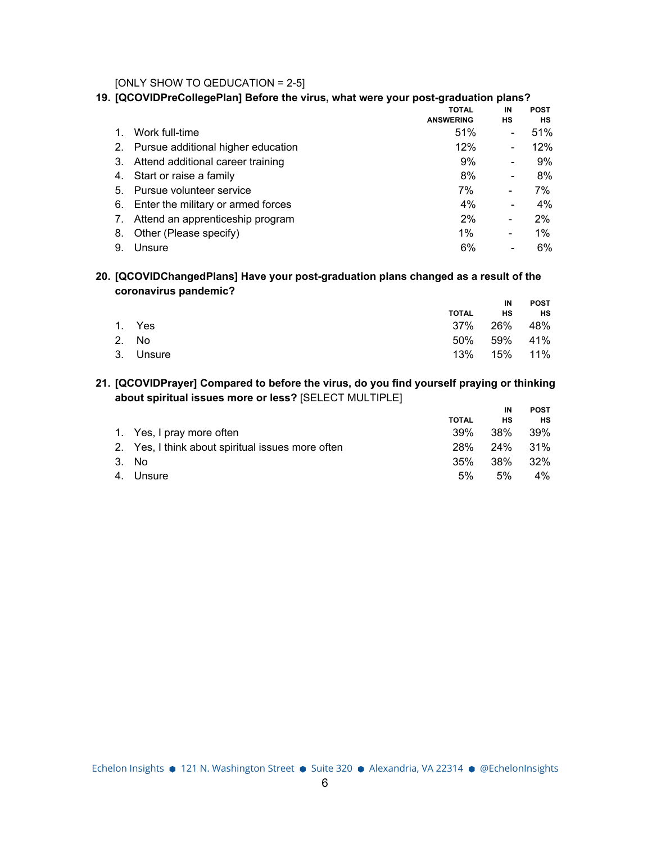[ONLY SHOW TO QEDUCATION = 2-5]

### **19. [QCOVIDPreCollegePlan] Before the virus, what were your post-graduation plans?**

|    |                                       | <b>TOTAL</b><br><b>ANSWERING</b> | IN<br>НS                     | <b>POST</b><br>НS |
|----|---------------------------------------|----------------------------------|------------------------------|-------------------|
|    | Work full-time                        | 51%                              | $\overline{\phantom{a}}$     | 51%               |
| 2. | Pursue additional higher education    | 12%                              | $\overline{\phantom{a}}$     | $12\%$            |
|    | 3. Attend additional career training  | 9%                               | $\overline{\phantom{a}}$     | 9%                |
|    | 4. Start or raise a family            | 8%                               | $\qquad \qquad \blacksquare$ | 8%                |
|    | 5. Pursue volunteer service           | 7%                               | -                            | 7%                |
|    | 6. Enter the military or armed forces | 4%                               | $\overline{\phantom{a}}$     | $4\%$             |
| 7. | Attend an apprenticeship program      | 2%                               | -                            | 2%                |
| 8. | Other (Please specify)                | $1\%$                            | -                            | 1%                |
| 9. | Unsure                                | 6%                               | $\overline{\phantom{a}}$     | 6%                |

### **20. [QCOVIDChangedPlans] Have your post-graduation plans changed as a result of the coronavirus pandemic?**

|           |             | IN | POST      |
|-----------|-------------|----|-----------|
|           | TOTAL       | HS | <b>HS</b> |
| 1. Yes    | 37% 26% 48% |    |           |
| 2. No     | 50% 59% 41% |    |           |
| 3. Unsure | 13% 15% 11% |    |           |

# **21. [QCOVIDPrayer] Compared to before the virus, do you find yourself praying or thinking about spiritual issues more or less?** [SELECT MULTIPLE]

|                                                   |              | IN      | <b>POST</b> |
|---------------------------------------------------|--------------|---------|-------------|
|                                                   | <b>TOTAL</b> | нs      | <b>HS</b>   |
| 1. Yes, I pray more often                         | 39%          | 38%     | - 39%       |
| 2. Yes, I think about spiritual issues more often | 28%          | 24% 31% |             |
| 3. No.                                            | 35%          | .38%    | 32%         |
| 4. Unsure                                         | 5%           | 5%      | 4%          |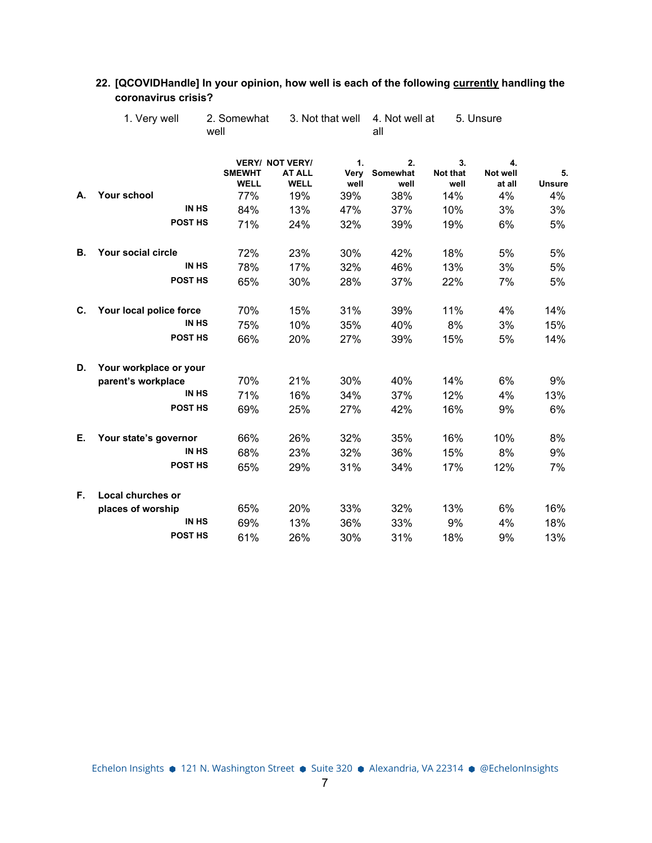|    |                         | well                         |                                                        |                    | all                    |                        |                          |                     |
|----|-------------------------|------------------------------|--------------------------------------------------------|--------------------|------------------------|------------------------|--------------------------|---------------------|
|    |                         | <b>SMEWHT</b><br><b>WELL</b> | <b>VERY/ NOT VERY/</b><br><b>AT ALL</b><br><b>WELL</b> | 1.<br>Very<br>well | 2.<br>Somewhat<br>well | 3.<br>Not that<br>well | 4.<br>Not well<br>at all | 5.<br><b>Unsure</b> |
| А. | <b>Your school</b>      | 77%                          | 19%                                                    | 39%                | 38%                    | 14%                    | 4%                       | 4%                  |
|    | <b>IN HS</b>            | 84%                          | 13%                                                    | 47%                | 37%                    | 10%                    | 3%                       | 3%                  |
|    | POST HS                 | 71%                          | 24%                                                    | 32%                | 39%                    | 19%                    | 6%                       | 5%                  |
| В. | Your social circle      | 72%                          | 23%                                                    | 30%                | 42%                    | 18%                    | 5%                       | 5%                  |
|    | <b>IN HS</b>            | 78%                          | 17%                                                    | 32%                | 46%                    | 13%                    | 3%                       | 5%                  |
|    | POST HS                 | 65%                          | 30%                                                    | 28%                | 37%                    | 22%                    | 7%                       | 5%                  |
| C. | Your local police force | 70%                          | 15%                                                    | 31%                | 39%                    | 11%                    | 4%                       | 14%                 |
|    | <b>IN HS</b>            | 75%                          | 10%                                                    | 35%                | 40%                    | 8%                     | 3%                       | 15%                 |
|    | POST HS                 | 66%                          | 20%                                                    | 27%                | 39%                    | 15%                    | 5%                       | 14%                 |
| D. | Your workplace or your  |                              |                                                        |                    |                        |                        |                          |                     |
|    | parent's workplace      | 70%                          | 21%                                                    | 30%                | 40%                    | 14%                    | 6%                       | 9%                  |
|    | <b>IN HS</b>            | 71%                          | 16%                                                    | 34%                | 37%                    | 12%                    | 4%                       | 13%                 |
|    | POST HS                 | 69%                          | 25%                                                    | 27%                | 42%                    | 16%                    | 9%                       | 6%                  |
| Е. | Your state's governor   | 66%                          | 26%                                                    | 32%                | 35%                    | 16%                    | 10%                      | 8%                  |
|    | <b>IN HS</b>            | 68%                          | 23%                                                    | 32%                | 36%                    | 15%                    | 8%                       | 9%                  |
|    | POST HS                 | 65%                          | 29%                                                    | 31%                | 34%                    | 17%                    | 12%                      | 7%                  |
| F. | Local churches or       |                              |                                                        |                    |                        |                        |                          |                     |
|    | places of worship       | 65%                          | 20%                                                    | 33%                | 32%                    | 13%                    | 6%                       | 16%                 |
|    | <b>IN HS</b>            | 69%                          | 13%                                                    | 36%                | 33%                    | 9%                     | 4%                       | 18%                 |
|    | <b>POST HS</b>          | 61%                          | 26%                                                    | 30%                | 31%                    | 18%                    | 9%                       | 13%                 |

# **22. [QCOVIDHandle] In your opinion, how well is each of the following currently handling the coronavirus crisis?**

5. Unsure

2. Somewhat 3. Not that well 4. Not well at

1. Very well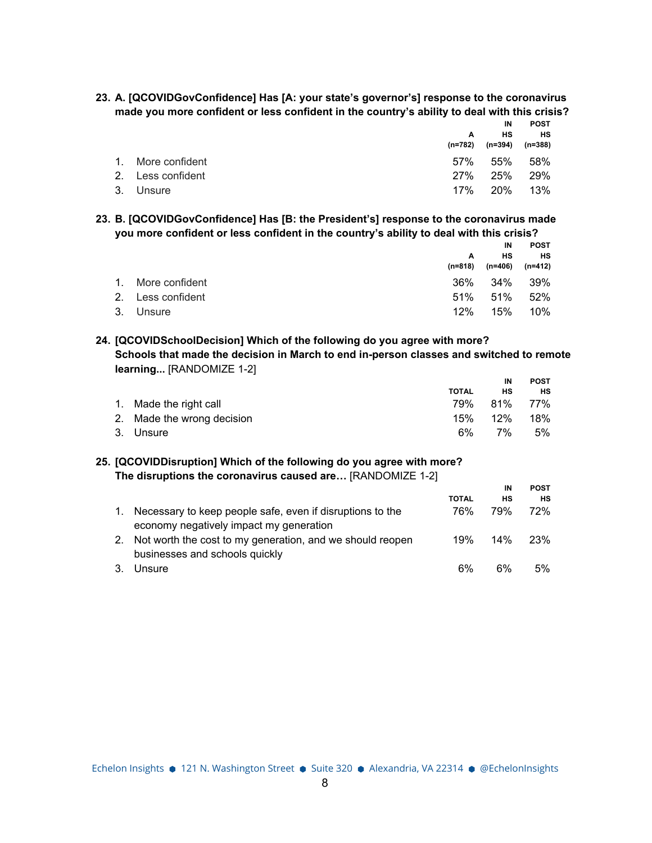**23. A. [QCOVIDGovConfidence] Has [A: your state's governor's] response to the coronavirus made you more confident or less confident in the country's ability to deal with this crisis?**

**POST**

|                   | A   | IN<br>нs<br>(n=782) (n=394) | <b>POST</b><br>HS<br>(n=388) |
|-------------------|-----|-----------------------------|------------------------------|
| 1. More confident | 57% | 55%                         | 58%                          |
| 2. Less confident | 27% | 25%                         | <b>29%</b>                   |
| 3. Unsure         | 17% | 20%                         | 13%                          |

**23. B. [QCOVIDGovConfidence] Has [B: the President's] response to the coronavirus made you more confident or less confident in the country's ability to deal with this crisis?**

|                   |         | IN      | <b>POST</b> |
|-------------------|---------|---------|-------------|
|                   | A       | нs      | HS          |
|                   | (n=818) | (n=406) | (n=412)     |
| 1. More confident | 36%     | 34%     | 39%         |
| 2. Less confident | 51%     | 51%     | 52%         |
| 3. Unsure         | 12%     | 15%     | 10%         |

# **24. [QCOVIDSchoolDecision] Which of the following do you agree with more? Schools that made the decision in March to end in-person classes and switched to remote learning...** [RANDOMIZE 1-2]

|                            |              | IN          | <b>POST</b> |
|----------------------------|--------------|-------------|-------------|
|                            | <b>TOTAL</b> | нs          | нs          |
| 1. Made the right call     |              | 79% 81% 77% |             |
| 2. Made the wrong decision | 15%          | 12%         | 18%         |
| 3. Unsure                  | 6%           | 7%          | 5%          |

### **25. [QCOVIDDisruption] Which of the following do you agree with more? The disruptions the coronavirus caused are…** [RANDOMIZE 1-2]

|               |                                                                                                      |              | IN  | <b>POST</b> |
|---------------|------------------------------------------------------------------------------------------------------|--------------|-----|-------------|
|               |                                                                                                      | <b>TOTAL</b> | НS  | нs          |
|               | Necessary to keep people safe, even if disruptions to the<br>economy negatively impact my generation | 76%          | 79% | 72%         |
| <sup>2.</sup> | Not worth the cost to my generation, and we should reopen<br>businesses and schools quickly          | 19%          | 14% | 23%         |
|               | Unsure                                                                                               | 6%           | 6%  | 5%          |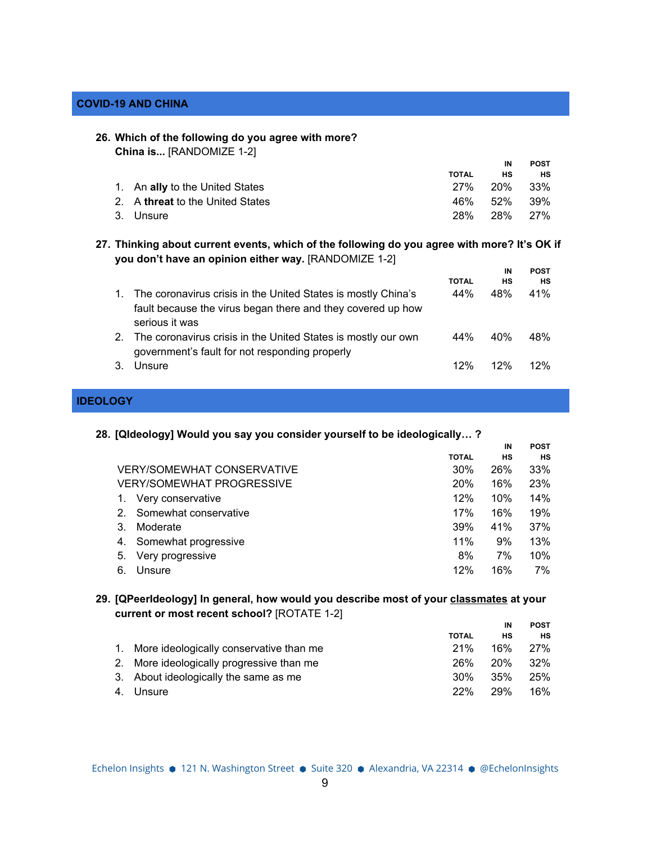### **COVID-19 AND CHINA**

#### **26. Which of the following do you agree with more?**

| China is [RANDOMIZE 1-2]                |              |     |             |
|-----------------------------------------|--------------|-----|-------------|
|                                         |              | IN  | <b>POST</b> |
|                                         | <b>TOTAL</b> | нs  | НS          |
| 1. An ally to the United States         | <b>27%</b>   | 20% | 33%         |
| 2. A <b>threat</b> to the United States | 46%          | 52% | 39%         |
| 3. Unsure                               | 28%          | 28% | 27%         |

**27. Thinking about current events, which of the following do you agree with more? It's OK if you don't have an opinion either way.** [RANDOMIZE 1-2]

|                                                                                                                                                |              | IN              | <b>POST</b> |
|------------------------------------------------------------------------------------------------------------------------------------------------|--------------|-----------------|-------------|
|                                                                                                                                                | <b>TOTAL</b> | <b>HS</b>       | НS          |
| The coronavirus crisis in the United States is mostly China's<br>fault because the virus began there and they covered up how<br>serious it was | 44%          | 48%             | 41%         |
| The coronavirus crisis in the United States is mostly our own<br>government's fault for not responding properly                                | 44%          | 40 <sub>%</sub> | 48%         |
| Unsure                                                                                                                                         | 12%          | 12%             | 12%         |

### **IDEOLOGY**

#### **28. [QIdeology] Would you say you consider yourself to be ideologically… ?**

|         |                                   |              | IN  | <b>POST</b> |
|---------|-----------------------------------|--------------|-----|-------------|
|         |                                   | <b>TOTAL</b> | НS  | нs          |
|         | <b>VERY/SOMEWHAT CONSERVATIVE</b> | 30%          | 26% | 33%         |
|         | <b>VERY/SOMEWHAT PROGRESSIVE</b>  | <b>20%</b>   | 16% | 23%         |
|         | Very conservative                 | 12%          | 10% | 14%         |
| $2_{-}$ | Somewhat conservative             | 17%          | 16% | 19%         |
| 3.      | Moderate                          | 39%          | 41% | 37%         |
| 4.      | Somewhat progressive              | 11%          | 9%  | 13%         |
| 5.      | Very progressive                  | 8%           | 7%  | 10%         |
| 6.      | Unsure                            | 12%          | 16% | 7%          |

# **29. [QPeerIdeology] In general, how would you describe most of your classmates at your current or most recent school?** [ROTATE 1-2]

|                                            |              | IN  | <b>POST</b> |
|--------------------------------------------|--------------|-----|-------------|
|                                            | <b>TOTAL</b> | НS  | НS          |
| 1. More ideologically conservative than me | 21%          | 16% | 27%         |
| 2. More ideologically progressive than me  | 26%          | 20% | 32%         |
| 3. About ideologically the same as me      | 30%          | 35% | 25%         |
| 4. Unsure                                  | 22%          | 29% | 16%         |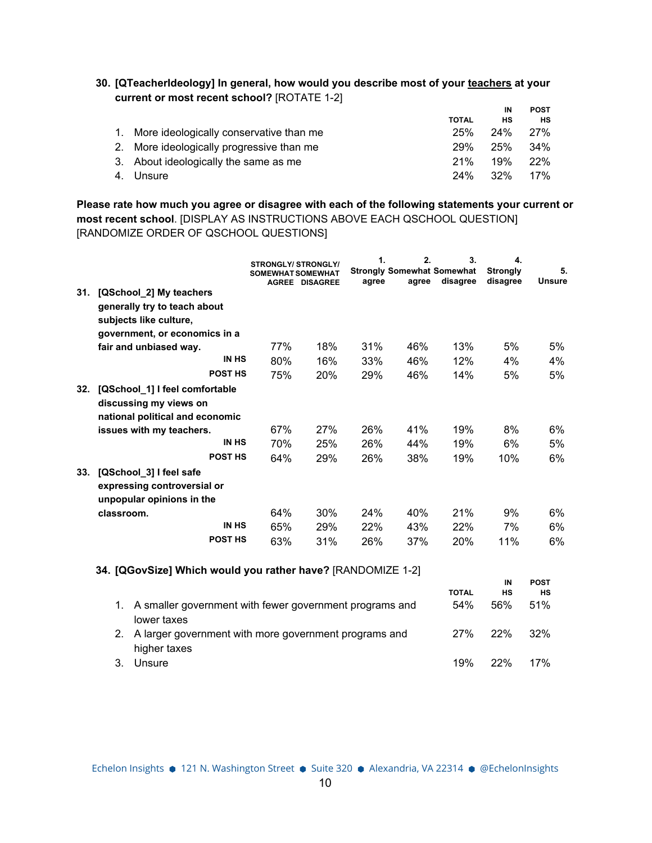| 30. [QTeacherIdeology] In general, how would you describe most of your teachers at your |  |
|-----------------------------------------------------------------------------------------|--|
| current or most recent school? [ROTATE 1-2]                                             |  |

|                                            |              | IN      | <b>POST</b> |
|--------------------------------------------|--------------|---------|-------------|
|                                            | <b>TOTAL</b> | нs      | <b>HS</b>   |
| 1. More ideologically conservative than me | 25%          | 24% 27% |             |
| 2. More ideologically progressive than me  | 29%          | 25%     | .34%        |
| 3. About ideologically the same as me      | 21%          | 19%     | 22%         |
| 4. Unsure                                  | 24%          | 32%     | 17%         |

**Please rate how much you agree or disagree with each of the following statements your current or most recent school**. [DISPLAY AS INSTRUCTIONS ABOVE EACH QSCHOOL QUESTION] [RANDOMIZE ORDER OF QSCHOOL QUESTIONS]

|     |                                                                                                                         | <b>STRONGLY/ STRONGLY/</b><br><b>SOMEWHAT SOMEWHAT</b> | <b>AGREE DISAGREE</b> | 1.<br><b>Strongly Somewhat Somewhat</b><br>agree | 2.<br>agree | 3.<br>disagree | 4.<br><b>Strongly</b><br>disagree | 5.<br><b>Unsure</b> |
|-----|-------------------------------------------------------------------------------------------------------------------------|--------------------------------------------------------|-----------------------|--------------------------------------------------|-------------|----------------|-----------------------------------|---------------------|
| 31. | [QSchool_2] My teachers                                                                                                 |                                                        |                       |                                                  |             |                |                                   |                     |
|     | generally try to teach about                                                                                            |                                                        |                       |                                                  |             |                |                                   |                     |
|     | subjects like culture,                                                                                                  |                                                        |                       |                                                  |             |                |                                   |                     |
|     | government, or economics in a                                                                                           |                                                        |                       |                                                  |             |                |                                   |                     |
|     | fair and unbiased way.                                                                                                  | 77%                                                    | 18%                   | 31%                                              | 46%         | 13%            | 5%                                | 5%                  |
|     | <b>IN HS</b>                                                                                                            | 80%                                                    | 16%                   | 33%                                              | 46%         | 12%            | 4%                                | 4%                  |
|     | <b>POST HS</b>                                                                                                          | 75%                                                    | <b>20%</b>            | 29%                                              | 46%         | 14%            | 5%                                | 5%                  |
| 32. | [QSchool 1] I feel comfortable<br>discussing my views on<br>national political and economic<br>issues with my teachers. | 67%                                                    | 27%                   | 26%                                              | 41%         | 19%            | 8%                                | 6%                  |
|     | <b>IN HS</b>                                                                                                            | 70%                                                    | 25%                   | 26%                                              | 44%         | 19%            | 6%                                | 5%                  |
|     | <b>POST HS</b>                                                                                                          | 64%                                                    | 29%                   | 26%                                              | 38%         | 19%            | 10%                               | 6%                  |
| 33. | [QSchool_3] I feel safe<br>expressing controversial or<br>unpopular opinions in the                                     |                                                        |                       |                                                  |             |                |                                   |                     |
|     | classroom.                                                                                                              | 64%                                                    | 30%                   | 24%                                              | 40%         | 21%            | 9%                                | 6%                  |
|     | <b>IN HS</b>                                                                                                            | 65%                                                    | 29%                   | 22%                                              | 43%         | 22%            | 7%                                | 6%                  |
|     | <b>POST HS</b>                                                                                                          | 63%                                                    | 31%                   | 26%                                              | 37%         | 20%            | 11%                               | 6%                  |

# **34. [QGovSize] Which would you rather have?** [RANDOMIZE 1-2]

|                                                                           |              | IN   | <b>POST</b> |
|---------------------------------------------------------------------------|--------------|------|-------------|
|                                                                           | <b>TOTAL</b> | нs   | нs          |
| 1. A smaller government with fewer government programs and<br>lower taxes | 54%          | .56% | 51%         |
| 2. A larger government with more government programs and<br>higher taxes  | 27%          | 22%  | 32%         |
| Unsure                                                                    | 19%          | 22%  | 17%         |

Echelon Insights ● 121 N. Washington Street ● Suite 320 ● Alexandria, VA 22314 ● @EchelonInsights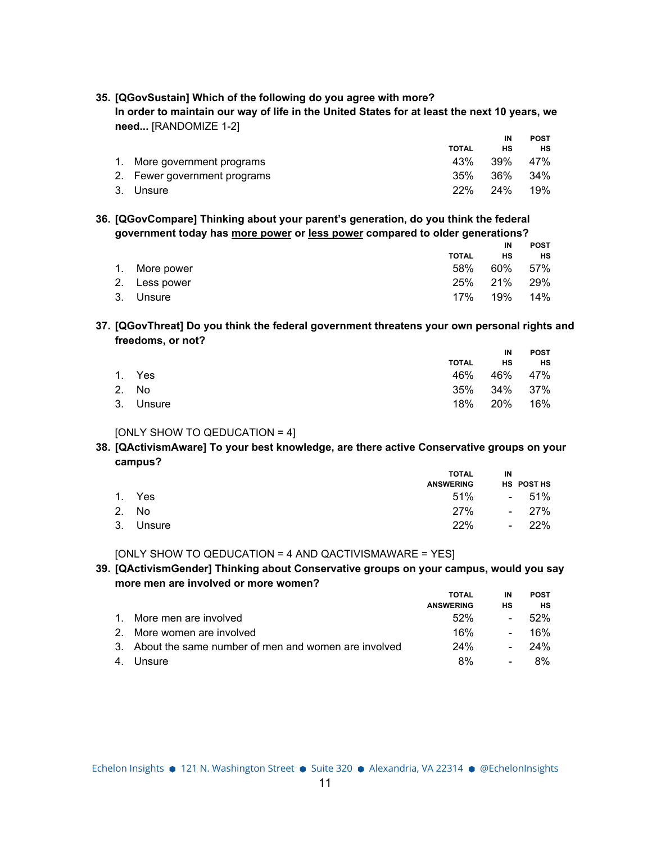| need [RANDOMIZE 1-2]         |              |     |             |
|------------------------------|--------------|-----|-------------|
|                              |              | ΙN  | <b>POST</b> |
|                              | <b>TOTAL</b> | нs  | нs          |
| More government programs     | 43%          | 39% | 47%         |
| 2. Fewer government programs | 35%          | 36% | .34%        |

3. Unsure 22% 24% 19%

# **35. [QGovSustain] Which of the following do you agree with more?**

In order to maintain our way of life in the United States for at least the next 10 years, we

| 36. [QGovCompare] Thinking about your parent's generation, do you think the federal |
|-------------------------------------------------------------------------------------|
| government today has more power or less power compared to older generations?        |

|               |              | IN          | <b>POST</b> |
|---------------|--------------|-------------|-------------|
|               | <b>TOTAL</b> | нs          | НS          |
| 1. More power | 58%          | 60% 57%     |             |
| 2. Less power |              | 25% 21% 29% |             |
| 3. Unsure     | 17%          | 19%  14%    |             |

### **37. [QGovThreat] Do you think the federal government threatens your own personal rights and freedoms, or not?**

|           |              | IN          | <b>POST</b> |
|-----------|--------------|-------------|-------------|
|           | <b>TOTAL</b> | <b>HS</b>   | HS          |
| 1. Yes    |              | 46% 46% 47% |             |
| 2. No     |              | 35% 34% 37% |             |
| 3. Unsure |              | 18% 20% 16% |             |

# [ONLY SHOW TO QEDUCATION = 4]

### **38. [QActivismAware] To your best knowledge, are there active Conservative groups on your campus?**

|           | <b>TOTAL</b>     | IN |            |
|-----------|------------------|----|------------|
|           | <b>ANSWERING</b> |    | HS POST HS |
| 1. Yes    | $51\%$ - $51\%$  |    |            |
| 2. No     | 27% - 27%        |    |            |
| 3. Unsure | 22%              |    | $-22\%$    |

[ONLY SHOW TO QEDUCATION = 4 AND QACTIVISMAWARE = YES]

# **39. [QActivismGender] Thinking about Conservative groups on your campus, would you say more men are involved or more women?**

|                                                        | <b>TOTAL</b>     | IN     | <b>POST</b> |
|--------------------------------------------------------|------------------|--------|-------------|
|                                                        | <b>ANSWERING</b> | нs     | HS          |
| 1. More men are involved                               | 52%              |        | .52%        |
| 2. More women are involved                             | 16%              | $\sim$ | 16%         |
| 3. About the same number of men and women are involved | 24%              | $\sim$ | -24%        |
| 4. Unsure                                              | 8%               |        | 8%          |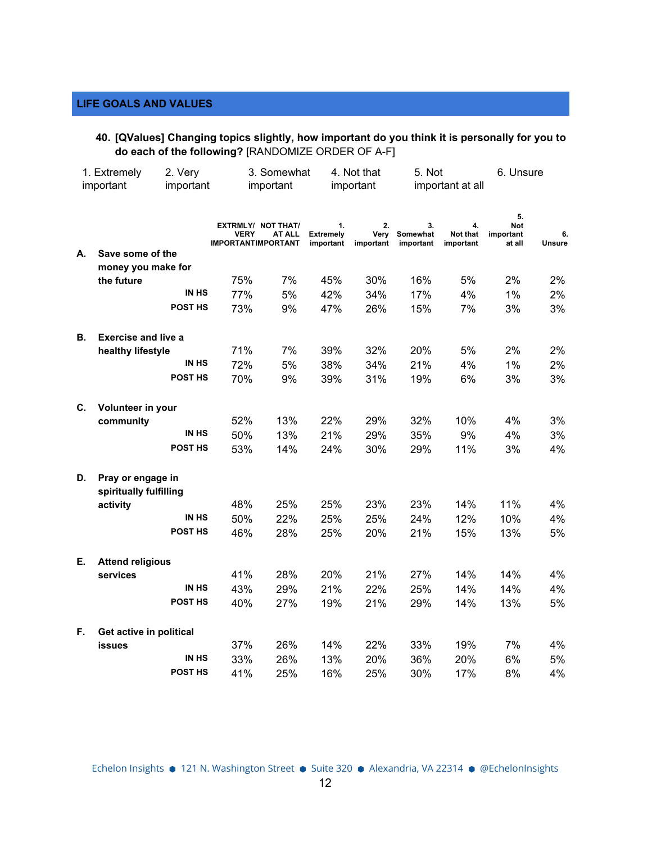# **LIFE GOALS AND VALUES**

**40. [QValues] Changing topics slightly, how important do you think it is personally for you to do each of the following?** [RANDOMIZE ORDER OF A-F]

|    | 1. Extremely               | 2. Very      |                                                                       | 3. Somewhat |                                     | 4. Not that             | 5. Not                      |                             | 6. Unsure                               |              |
|----|----------------------------|--------------|-----------------------------------------------------------------------|-------------|-------------------------------------|-------------------------|-----------------------------|-----------------------------|-----------------------------------------|--------------|
|    | important                  | important    |                                                                       | important   |                                     | important               |                             | important at all            |                                         |              |
|    |                            |              | <b>EXTRMLY/ NOT THAT/</b><br><b>VERY</b><br><b>IMPORTANTIMPORTANT</b> | AT ALL      | 1.<br><b>Extremely</b><br>important | 2.<br>Very<br>important | 3.<br>Somewhat<br>important | 4.<br>Not that<br>important | 5.<br><b>Not</b><br>important<br>at all | 6.<br>Unsure |
| А. | Save some of the           |              |                                                                       |             |                                     |                         |                             |                             |                                         |              |
|    | money you make for         |              |                                                                       |             |                                     |                         |                             |                             |                                         |              |
|    | the future                 |              | 75%                                                                   | 7%          | 45%                                 | 30%                     | 16%                         | 5%                          | 2%                                      | 2%           |
|    |                            | <b>IN HS</b> | 77%                                                                   | 5%          | 42%                                 | 34%                     | 17%                         | 4%                          | 1%                                      | 2%           |
|    |                            | POST HS      | 73%                                                                   | 9%          | 47%                                 | 26%                     | 15%                         | 7%                          | 3%                                      | 3%           |
| В. | <b>Exercise and live a</b> |              |                                                                       |             |                                     |                         |                             |                             |                                         |              |
|    | healthy lifestyle          |              | 71%                                                                   | 7%          | 39%                                 | 32%                     | 20%                         | 5%                          | 2%                                      | 2%           |
|    |                            | IN HS        | 72%                                                                   | 5%          | 38%                                 | 34%                     | 21%                         | 4%                          | 1%                                      | 2%           |
|    |                            | POST HS      | 70%                                                                   | 9%          | 39%                                 | 31%                     | 19%                         | 6%                          | 3%                                      | 3%           |
| C. | Volunteer in your          |              |                                                                       |             |                                     |                         |                             |                             |                                         |              |
|    | community                  |              | 52%                                                                   | 13%         | 22%                                 | 29%                     | 32%                         | 10%                         | 4%                                      | 3%           |
|    |                            | IN HS        | 50%                                                                   | 13%         | 21%                                 | 29%                     | 35%                         | 9%                          | 4%                                      | 3%           |
|    |                            | POST HS      | 53%                                                                   | 14%         | 24%                                 | 30%                     | 29%                         | 11%                         | 3%                                      | 4%           |
| D. | Pray or engage in          |              |                                                                       |             |                                     |                         |                             |                             |                                         |              |
|    | spiritually fulfilling     |              |                                                                       |             |                                     |                         |                             |                             |                                         |              |
|    | activity                   |              | 48%                                                                   | 25%         | 25%                                 | 23%                     | 23%                         | 14%                         | 11%                                     | 4%           |
|    |                            | IN HS        | 50%                                                                   | 22%         | 25%                                 | 25%                     | 24%                         | 12%                         | 10%                                     | 4%           |
|    |                            | POST HS      | 46%                                                                   | 28%         | 25%                                 | 20%                     | 21%                         | 15%                         | 13%                                     | 5%           |
| Е. | <b>Attend religious</b>    |              |                                                                       |             |                                     |                         |                             |                             |                                         |              |
|    | services                   |              | 41%                                                                   | 28%         | 20%                                 | 21%                     | 27%                         | 14%                         | 14%                                     | 4%           |
|    |                            | IN HS        | 43%                                                                   | 29%         | 21%                                 | 22%                     | 25%                         | 14%                         | 14%                                     | 4%           |
|    |                            | POST HS      | 40%                                                                   | 27%         | 19%                                 | 21%                     | 29%                         | 14%                         | 13%                                     | 5%           |
| F. | Get active in political    |              |                                                                       |             |                                     |                         |                             |                             |                                         |              |
|    | <b>issues</b>              |              | 37%                                                                   | 26%         | 14%                                 | 22%                     | 33%                         | 19%                         | 7%                                      | 4%           |
|    |                            | IN HS        | 33%                                                                   | 26%         | 13%                                 | 20%                     | 36%                         | 20%                         | 6%                                      | 5%           |
|    |                            | POST HS      | 41%                                                                   | 25%         | 16%                                 | 25%                     | 30%                         | 17%                         | 8%                                      | 4%           |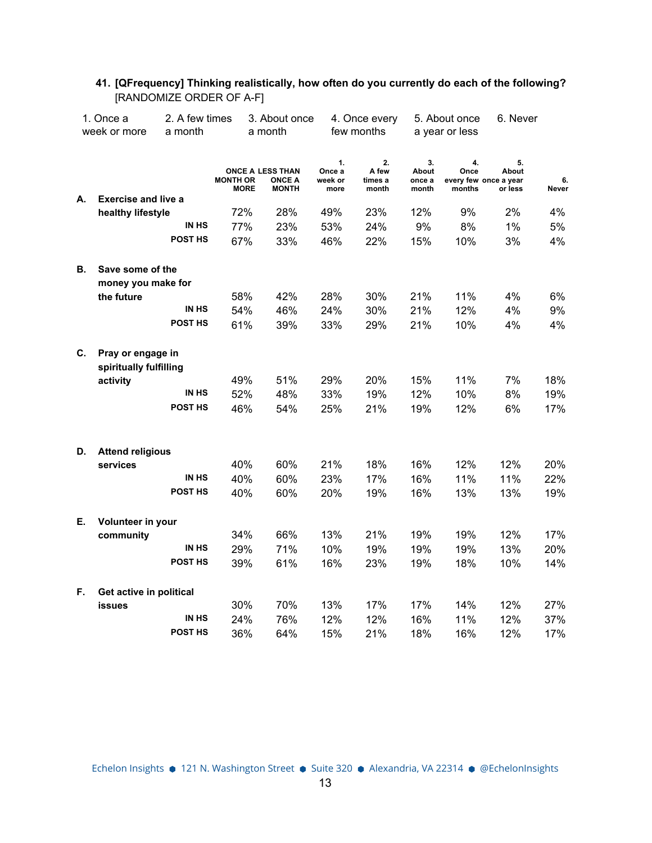|    | 1. Once a<br>week or more                   | 2. A few times<br>a month |                                | 3. About once<br>a month                          |                                 | 4. Once every<br>few months     |                                | 5. About once<br>a year or less | 6. Never                                        |             |
|----|---------------------------------------------|---------------------------|--------------------------------|---------------------------------------------------|---------------------------------|---------------------------------|--------------------------------|---------------------------------|-------------------------------------------------|-------------|
|    |                                             |                           |                                |                                                   |                                 |                                 |                                |                                 |                                                 |             |
|    |                                             |                           | <b>MONTH OR</b><br><b>MORE</b> | ONCE A LESS THAN<br><b>ONCE A</b><br><b>MONTH</b> | 1.<br>Once a<br>week or<br>more | 2.<br>A few<br>times a<br>month | 3.<br>About<br>once a<br>month | 4.<br>Once<br>months            | 5.<br>About<br>every few once a year<br>or less | 6.<br>Never |
| А. | <b>Exercise and live a</b>                  |                           |                                |                                                   |                                 |                                 |                                |                                 |                                                 |             |
|    | healthy lifestyle                           |                           | 72%                            | 28%                                               | 49%                             | 23%                             | 12%                            | 9%                              | 2%                                              | 4%          |
|    |                                             | IN HS                     | 77%                            | 23%                                               | 53%                             | 24%                             | 9%                             | 8%                              | 1%                                              | 5%          |
|    |                                             | POST HS                   | 67%                            | 33%                                               | 46%                             | 22%                             | 15%                            | 10%                             | 3%                                              | 4%          |
| В. | Save some of the                            |                           |                                |                                                   |                                 |                                 |                                |                                 |                                                 |             |
|    | money you make for                          |                           |                                |                                                   |                                 |                                 |                                |                                 |                                                 |             |
|    | the future                                  |                           | 58%                            | 42%                                               | 28%                             | 30%                             | 21%                            | 11%                             | 4%                                              | 6%          |
|    |                                             | IN HS                     | 54%                            | 46%                                               | 24%                             | 30%                             | 21%                            | 12%                             | 4%                                              | 9%          |
|    |                                             | POST HS                   | 61%                            | 39%                                               | 33%                             | 29%                             | 21%                            | 10%                             | 4%                                              | 4%          |
| C. | Pray or engage in<br>spiritually fulfilling |                           |                                |                                                   |                                 |                                 |                                |                                 |                                                 |             |
|    | activity                                    |                           | 49%                            | 51%                                               | 29%                             | 20%                             | 15%                            | 11%                             | 7%                                              | 18%         |
|    |                                             | IN HS                     | 52%                            | 48%                                               | 33%                             | 19%                             | 12%                            | 10%                             | 8%                                              | 19%         |
|    |                                             | POST HS                   | 46%                            | 54%                                               | 25%                             | 21%                             | 19%                            | 12%                             | 6%                                              | 17%         |
| D. | <b>Attend religious</b>                     |                           |                                |                                                   |                                 |                                 |                                |                                 |                                                 |             |
|    | services                                    |                           | 40%                            | 60%                                               | 21%                             | 18%                             | 16%                            | 12%                             | 12%                                             | 20%         |
|    |                                             | <b>IN HS</b>              | 40%                            | 60%                                               | 23%                             | 17%                             | 16%                            | 11%                             | 11%                                             | 22%         |
|    |                                             | POST HS                   | 40%                            | 60%                                               | 20%                             | 19%                             | 16%                            | 13%                             | 13%                                             | 19%         |
| Е. | Volunteer in your                           |                           |                                |                                                   |                                 |                                 |                                |                                 |                                                 |             |
|    | community                                   |                           | 34%                            | 66%                                               | 13%                             | 21%                             | 19%                            | 19%                             | 12%                                             | 17%         |
|    |                                             | IN HS                     | 29%                            | 71%                                               | 10%                             | 19%                             | 19%                            | 19%                             | 13%                                             | 20%         |
|    |                                             | POST HS                   | 39%                            | 61%                                               | 16%                             | 23%                             | 19%                            | 18%                             | 10%                                             | 14%         |
| F. | Get active in political                     |                           |                                |                                                   |                                 |                                 |                                |                                 |                                                 |             |
|    | <b>issues</b>                               |                           | 30%                            | 70%                                               | 13%                             | 17%                             | 17%                            | 14%                             | 12%                                             | 27%         |
|    |                                             | IN HS                     | 24%                            | 76%                                               | 12%                             | 12%                             | 16%                            | 11%                             | 12%                                             | 37%         |
|    |                                             | POST HS                   | 36%                            | 64%                                               | 15%                             | 21%                             | 18%                            | 16%                             | 12%                                             | 17%         |

# **41. [QFrequency] Thinking realistically, how often do you currently do each of the following?** [RANDOMIZE ORDER OF A-F]

Echelon Insights ● 121 N. Washington Street ● Suite 320 ● Alexandria, VA 22314 ● @EchelonInsights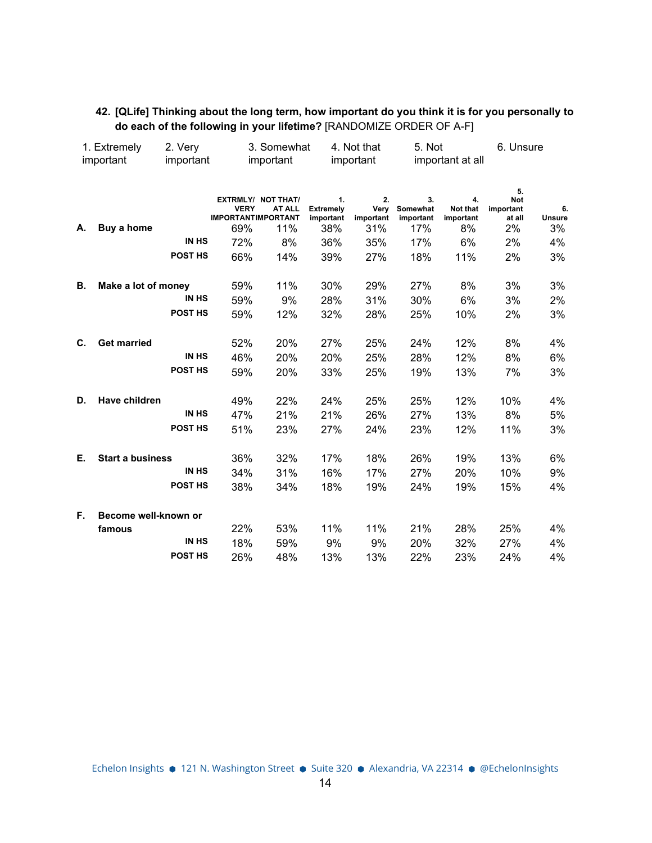| 42. [QLife] Thinking about the long term, how important do you think it is for you personally to |
|--------------------------------------------------------------------------------------------------|
| do each of the following in your lifetime? [RANDOMIZE ORDER OF A-F]                              |

| 1. Extremely |                         | 2. Very      | 3. Somewhat                                     |                                                   |                                            | 4. Not that                    |                                    | 5. Not                            |                                               | 6. Unsure          |  |
|--------------|-------------------------|--------------|-------------------------------------------------|---------------------------------------------------|--------------------------------------------|--------------------------------|------------------------------------|-----------------------------------|-----------------------------------------------|--------------------|--|
|              | important               | important    |                                                 | important                                         |                                            | important                      |                                    | important at all                  |                                               |                    |  |
| А.           | Buy a home              |              | <b>VERY</b><br><b>IMPORTANTIMPORTANT</b><br>69% | <b>EXTRMLY/ NOT THAT/</b><br><b>AT ALL</b><br>11% | 1.<br><b>Extremely</b><br>important<br>38% | 2.<br>Very<br>important<br>31% | 3.<br>Somewhat<br>important<br>17% | 4.<br>Not that<br>important<br>8% | 5.<br><b>Not</b><br>important<br>at all<br>2% | 6.<br>Unsure<br>3% |  |
|              |                         | <b>IN HS</b> | 72%                                             | 8%                                                | 36%                                        | 35%                            | 17%                                | 6%                                | 2%                                            | 4%                 |  |
|              |                         | POST HS      | 66%                                             | 14%                                               | 39%                                        | 27%                            | 18%                                | 11%                               | 2%                                            | 3%                 |  |
| В.           | Make a lot of money     |              | 59%                                             | 11%                                               | 30%                                        | 29%                            | 27%                                | 8%                                | 3%                                            | 3%                 |  |
|              |                         | <b>IN HS</b> | 59%                                             | 9%                                                | 28%                                        | 31%                            | 30%                                | 6%                                | 3%                                            | 2%                 |  |
|              |                         | POST HS      | 59%                                             | 12%                                               | 32%                                        | 28%                            | 25%                                | 10%                               | 2%                                            | 3%                 |  |
| C.           | <b>Get married</b>      |              | 52%                                             | 20%                                               | 27%                                        | 25%                            | 24%                                | 12%                               | 8%                                            | 4%                 |  |
|              |                         | IN HS        | 46%                                             | 20%                                               | 20%                                        | 25%                            | 28%                                | 12%                               | 8%                                            | 6%                 |  |
|              |                         | POST HS      | 59%                                             | 20%                                               | 33%                                        | 25%                            | 19%                                | 13%                               | 7%                                            | 3%                 |  |
| D.           | Have children           |              | 49%                                             | 22%                                               | 24%                                        | 25%                            | 25%                                | 12%                               | 10%                                           | 4%                 |  |
|              |                         | IN HS        | 47%                                             | 21%                                               | 21%                                        | 26%                            | 27%                                | 13%                               | 8%                                            | 5%                 |  |
|              |                         | POST HS      | 51%                                             | 23%                                               | 27%                                        | 24%                            | 23%                                | 12%                               | 11%                                           | 3%                 |  |
| Е.           | <b>Start a business</b> |              | 36%                                             | 32%                                               | 17%                                        | 18%                            | 26%                                | 19%                               | 13%                                           | 6%                 |  |
|              |                         | <b>IN HS</b> | 34%                                             | 31%                                               | 16%                                        | 17%                            | 27%                                | 20%                               | 10%                                           | 9%                 |  |
|              |                         | POST HS      | 38%                                             | 34%                                               | 18%                                        | 19%                            | 24%                                | 19%                               | 15%                                           | 4%                 |  |
| F.           | Become well-known or    |              |                                                 |                                                   |                                            |                                |                                    |                                   |                                               |                    |  |
|              | famous                  |              | 22%                                             | 53%                                               | 11%                                        | 11%                            | 21%                                | 28%                               | 25%                                           | 4%                 |  |
|              |                         | <b>IN HS</b> | 18%                                             | 59%                                               | 9%                                         | 9%                             | 20%                                | 32%                               | 27%                                           | 4%                 |  |
|              |                         | POST HS      | 26%                                             | 48%                                               | 13%                                        | 13%                            | 22%                                | 23%                               | 24%                                           | 4%                 |  |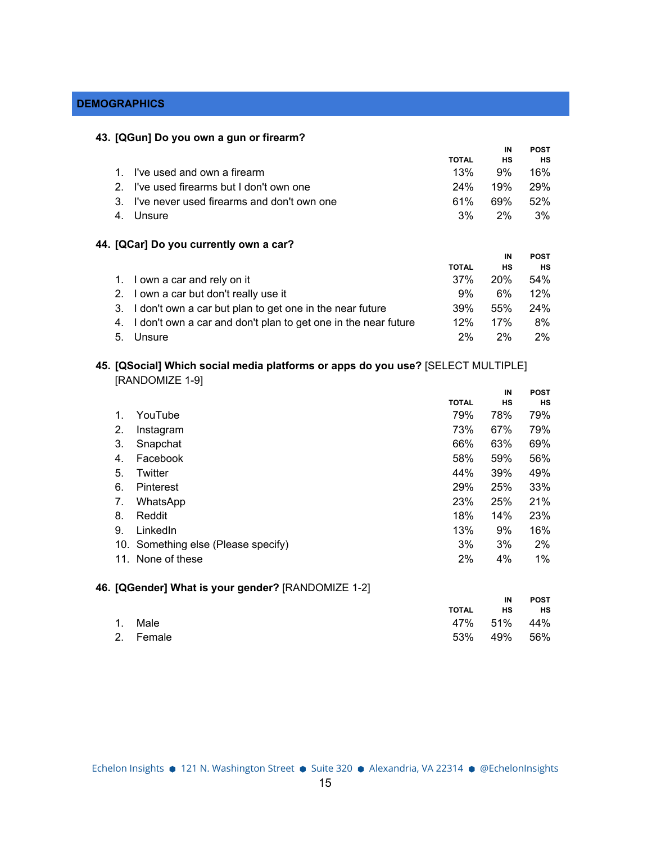# **DEMOGRAPHICS**

### **43. [QGun] Do you own a gun or firearm?**

|                |                                                                |              | IN         | <b>POST</b> |
|----------------|----------------------------------------------------------------|--------------|------------|-------------|
|                |                                                                | <b>TOTAL</b> | <b>HS</b>  | <b>HS</b>   |
| 1.             | I've used and own a firearm                                    | 13%          | 9%         | 16%         |
| 2 <sub>1</sub> | I've used firearms but I don't own one                         | 24%          | 19%        | 29%         |
| 3.             | I've never used firearms and don't own one                     | 61%          | 69%        | 52%         |
| 4.             | Unsure                                                         | 3%           | 2%         | 3%          |
|                | 44. [QCar] Do you currently own a car?                         |              |            |             |
|                |                                                                |              | IN         | <b>POST</b> |
|                |                                                                | <b>TOTAL</b> | <b>HS</b>  | <b>HS</b>   |
| 1.             | I own a car and rely on it                                     | 37%          | <b>20%</b> | 54%         |
| $2_{-}$        | I own a car but don't really use it                            | 9%           | 6%         | 12%         |
| 3.             | I don't own a car but plan to get one in the near future       | 39%          | 55%        | 24%         |
| 4.             | I don't own a car and don't plan to get one in the near future | 12%          | 17%        | 8%          |
| 5.             | Unsure                                                         | 2%           | 2%         | 2%          |

# **45. [QSocial] Which social media platforms or apps do you use?** [SELECT MULTIPLE] [RANDOMIZE 1-9]

|     |                                     |              | IN  | <b>POST</b> |
|-----|-------------------------------------|--------------|-----|-------------|
|     |                                     | <b>TOTAL</b> | HS  | <b>HS</b>   |
| 1.  | YouTube                             | 79%          | 78% | 79%         |
| 2.  | Instagram                           | 73%          | 67% | 79%         |
| 3.  | Snapchat                            | 66%          | 63% | 69%         |
| 4.  | Facebook                            | 58%          | 59% | 56%         |
| 5.  | Twitter                             | 44%          | 39% | 49%         |
| 6.  | Pinterest                           | 29%          | 25% | 33%         |
| 7.  | WhatsApp                            | 23%          | 25% | 21%         |
| 8.  | Reddit                              | 18%          | 14% | 23%         |
| 9.  | LinkedIn                            | 13%          | 9%  | 16%         |
|     | 10. Something else (Please specify) | 3%           | 3%  | 2%          |
| 11. | None of these                       | 2%           | 4%  | 1%          |
|     |                                     |              |     |             |

# **46. [QGender] What is your gender?** [RANDOMIZE 1-2]

|           |       | IN          | <b>POST</b> |
|-----------|-------|-------------|-------------|
|           | TOTAL | HS          | HS          |
| 1. Male   |       | 47% 51% 44% |             |
| 2. Female |       | 53% 49% 56% |             |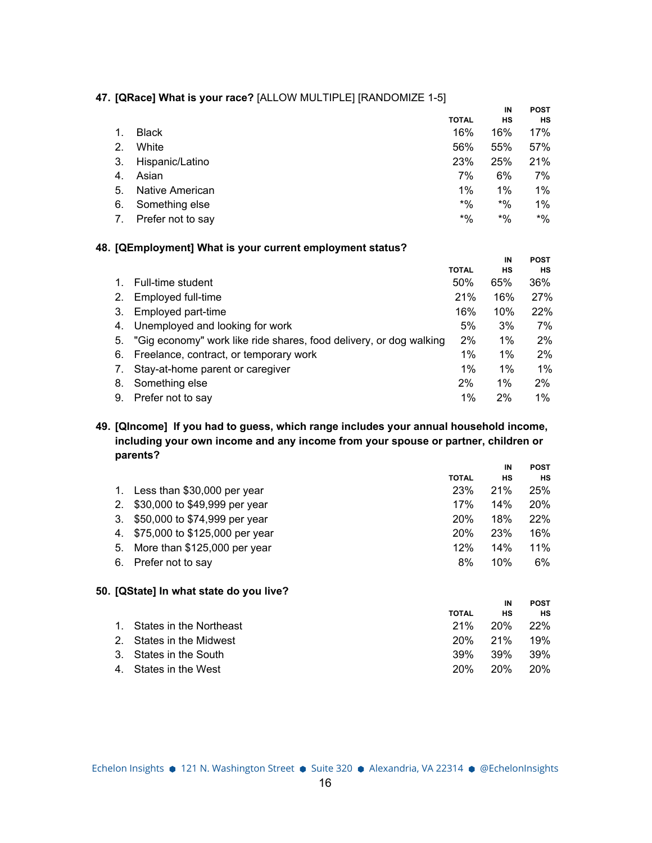### **47. [QRace] What is your race?** [ALLOW MULTIPLE] [RANDOMIZE 1-5]

|     |                   |              | IN     | <b>POST</b> |
|-----|-------------------|--------------|--------|-------------|
|     |                   | <b>TOTAL</b> | HS     | <b>HS</b>   |
|     | <b>Black</b>      | 16%          | 16%    | 17%         |
| 2.  | White             | 56%          | 55%    | 57%         |
| 3.  | Hispanic/Latino   | 23%          | 25%    | 21%         |
| -4. | Asian             | 7%           | 6%     | 7%          |
| 5.  | Native American   | 1%           | $1\%$  | $1\%$       |
| 6.  | Something else    | $*9/6$       | $*9/6$ | $1\%$       |
| 7.  | Prefer not to say | $*9/6$       | *%     | $*9/0$      |

### **48. [QEmployment] What is your current employment status?**

|    |                                                                    |              | IN        | <b>POST</b> |
|----|--------------------------------------------------------------------|--------------|-----------|-------------|
|    |                                                                    | <b>TOTAL</b> | <b>HS</b> | нs          |
|    | Full-time student                                                  | 50%          | 65%       | 36%         |
| 2. | Employed full-time                                                 | 21%          | 16%       | 27%         |
| 3. | Employed part-time                                                 | 16%          | 10%       | 22%         |
| 4. | Unemployed and looking for work                                    | 5%           | 3%        | 7%          |
| 5. | "Gig economy" work like ride shares, food delivery, or dog walking | 2%           | $1\%$     | 2%          |
| 6. | Freelance, contract, or temporary work                             | 1%           | $1\%$     | 2%          |
| 7. | Stay-at-home parent or caregiver                                   | $1\%$        | $1\%$     | $1\%$       |
| 8. | Something else                                                     | 2%           | 1%        | 2%          |
| 9. | Prefer not to say                                                  | 1%           | 2%        | 1%          |
|    |                                                                    |              |           |             |

**49. [QIncome] If you had to guess, which range includes your annual household income, including your own income and any income from your spouse or partner, children or parents?**

|    |                                         |              | IN  | <b>POST</b> |
|----|-----------------------------------------|--------------|-----|-------------|
|    |                                         | <b>TOTAL</b> | НS  | <b>HS</b>   |
|    | Less than \$30,000 per year             | 23%          | 21% | 25%         |
| 2. | \$30,000 to \$49,999 per year           | 17%          | 14% | <b>20%</b>  |
| 3. | \$50,000 to \$74,999 per year           | 20%          | 18% | <b>22%</b>  |
| 4. | \$75,000 to \$125,000 per year          | 20%          | 23% | 16%         |
| 5. | More than \$125,000 per year            | 12%          | 14% | 11%         |
| 6. | Prefer not to say                       | 8%           | 10% | 6%          |
|    | 50. [QState] In what state do you live? |              |     |             |
|    |                                         |              |     |             |

|                            |              | IN      | <b>POST</b> |
|----------------------------|--------------|---------|-------------|
|                            | <b>TOTAL</b> | нs      | <b>HS</b>   |
| 1. States in the Northeast | 21%          | 20%     | 22%         |
| 2. States in the Midwest   |              | 20% 21% | 19%         |
| 3. States in the South     | 39%          | .39%    | 39%         |
| 4. States in the West      | 20%          | 20%     | 20%         |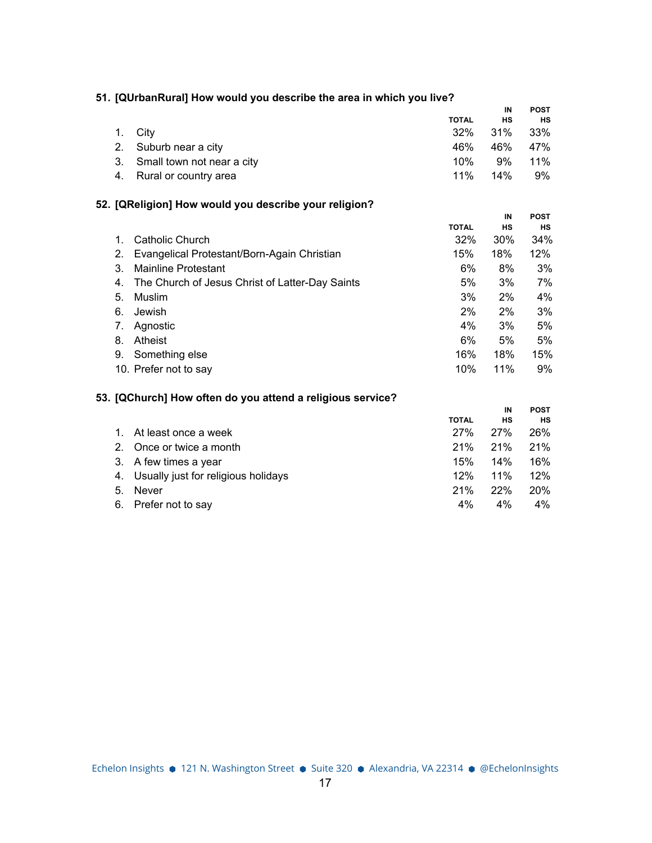|  |  |  | 51. [QUrbanRural] How would you describe the area in which you live? |  |  |
|--|--|--|----------------------------------------------------------------------|--|--|
|--|--|--|----------------------------------------------------------------------|--|--|

|                               |              | IN  | <b>POST</b> |
|-------------------------------|--------------|-----|-------------|
|                               | <b>TOTAL</b> | НS  | <b>HS</b>   |
| 1. City                       | 32%          | 31% | - 33%       |
| 2. Suburb near a city         | 46%          | 46% | 47%         |
| 3. Small town not near a city | 10%          | 9%  | 11%         |
| 4. Rural or country area      | $11\%$       | 14% | 9%          |

# **52. [QReligion] How would you describe your religion?**

|    |                                                 |              | IN  | <b>POST</b> |
|----|-------------------------------------------------|--------------|-----|-------------|
|    |                                                 | <b>TOTAL</b> | НS  | НS          |
|    | Catholic Church                                 | 32%          | 30% | 34%         |
| 2. | Evangelical Protestant/Born-Again Christian     | 15%          | 18% | 12%         |
| 3. | Mainline Protestant                             | 6%           | 8%  | 3%          |
| 4. | The Church of Jesus Christ of Latter-Day Saints | 5%           | 3%  | 7%          |
| 5. | Muslim                                          | 3%           | 2%  | 4%          |
| 6. | Jewish                                          | 2%           | 2%  | 3%          |
| 7. | Agnostic                                        | 4%           | 3%  | 5%          |
| 8. | Atheist                                         | 6%           | 5%  | 5%          |
| 9. | Something else                                  | 16%          | 18% | 15%         |
|    | 10. Prefer not to say                           | 10%          | 11% | 9%          |

# **53. [QChurch] How often do you attend a religious service?**

|                |                                        |              | IN  | <b>POST</b> |
|----------------|----------------------------------------|--------------|-----|-------------|
|                |                                        | <b>TOTAL</b> | НS  | <b>HS</b>   |
| $1_{-}$        | At least once a week                   | 27%          | 27% | <b>26%</b>  |
| 2 <sup>1</sup> | Once or twice a month                  | 21%          | 21% | 21%         |
|                | 3. A few times a year                  | 15%          | 14% | 16%         |
|                | 4. Usually just for religious holidays | 12%          | 11% | 12%         |
| 5.             | <b>Never</b>                           | 21%          | 22% | <b>20%</b>  |
|                | 6. Prefer not to say                   | 4%           | 4%  | 4%          |